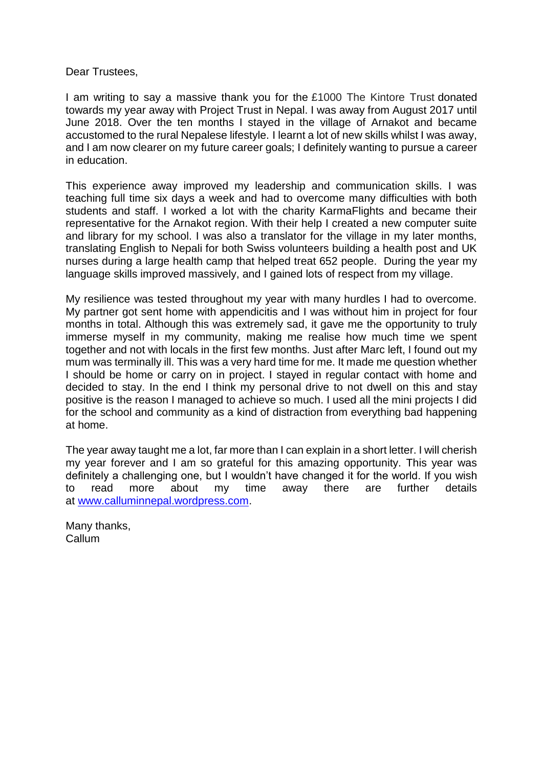Dear Trustees,

I am writing to say a massive thank you for the £1000 The Kintore Trust donated towards my year away with Project Trust in Nepal. I was away from August 2017 until June 2018. Over the ten months I stayed in the village of Arnakot and became accustomed to the rural Nepalese lifestyle. I learnt a lot of new skills whilst I was away, and I am now clearer on my future career goals; I definitely wanting to pursue a career in education.

This experience away improved my leadership and communication skills. I was teaching full time six days a week and had to overcome many difficulties with both students and staff. I worked a lot with the charity KarmaFlights and became their representative for the Arnakot region. With their help I created a new computer suite and library for my school. I was also a translator for the village in my later months, translating English to Nepali for both Swiss volunteers building a health post and UK nurses during a large health camp that helped treat 652 people. During the year my language skills improved massively, and I gained lots of respect from my village.

My resilience was tested throughout my year with many hurdles I had to overcome. My partner got sent home with appendicitis and I was without him in project for four months in total. Although this was extremely sad, it gave me the opportunity to truly immerse myself in my community, making me realise how much time we spent together and not with locals in the first few months. Just after Marc left, I found out my mum was terminally ill. This was a very hard time for me. It made me question whether I should be home or carry on in project. I stayed in regular contact with home and decided to stay. In the end I think my personal drive to not dwell on this and stay positive is the reason I managed to achieve so much. I used all the mini projects I did for the school and community as a kind of distraction from everything bad happening at home.

The year away taught me a lot, far more than I can explain in a short letter. I will cherish my year forever and I am so grateful for this amazing opportunity. This year was definitely a challenging one, but I wouldn't have changed it for the world. If you wish to read more about my time away there are further details at [www.calluminnepal.wordpress.com.](http://www.calluminnepal.wordpress.com/)

Many thanks, Callum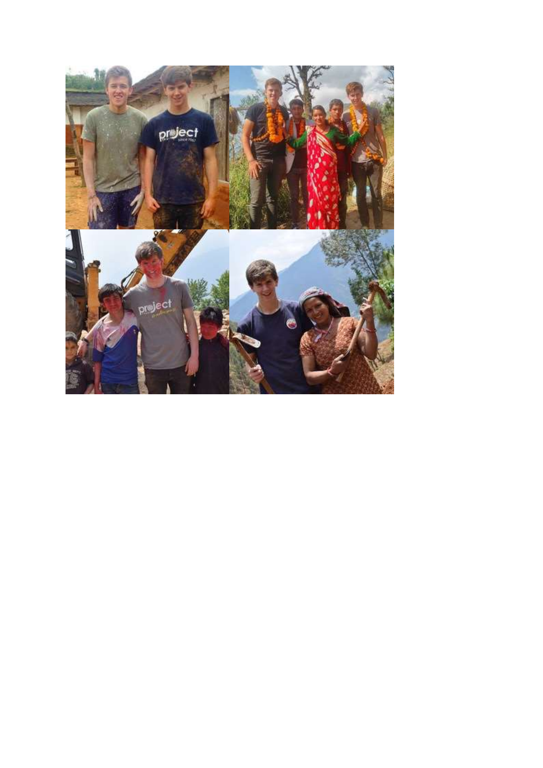